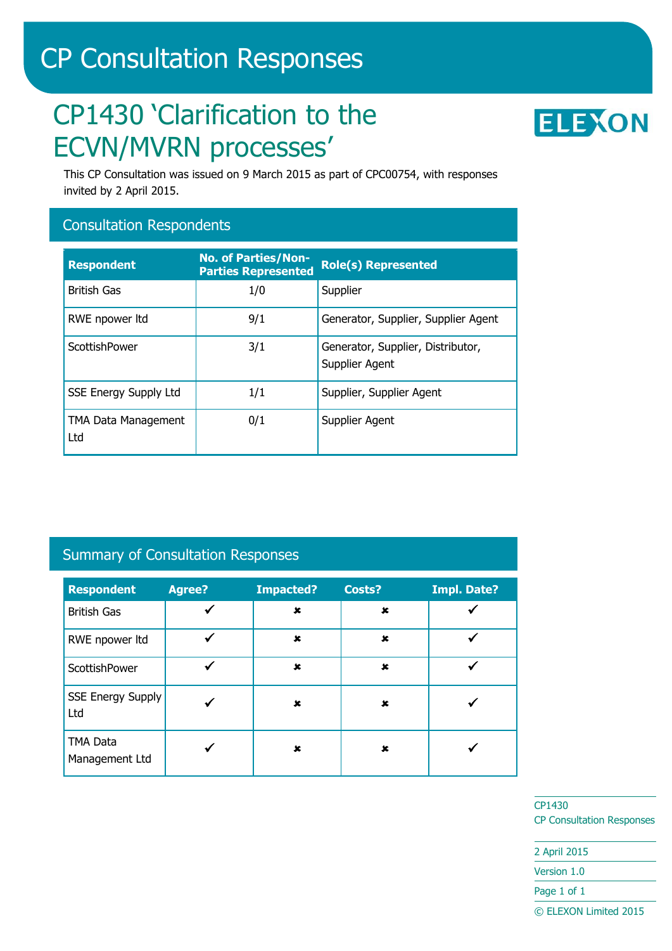# CP Consultation Responses

# CP1430 'Clarification to the ECVN/MVRN processes'



This CP Consultation was issued on 9 March 2015 as part of CPC00754, with responses invited by 2 April 2015.

### Consultation Respondents

| <b>Respondent</b>                 | <b>No. of Parties/Non-</b><br><b>Parties Represented</b> | <b>Role(s) Represented</b>                          |
|-----------------------------------|----------------------------------------------------------|-----------------------------------------------------|
| <b>British Gas</b>                | 1/0                                                      | Supplier                                            |
| RWE npower ltd                    | 9/1                                                      | Generator, Supplier, Supplier Agent                 |
| ScottishPower                     | 3/1                                                      | Generator, Supplier, Distributor,<br>Supplier Agent |
| <b>SSE Energy Supply Ltd</b>      | 1/1                                                      | Supplier, Supplier Agent                            |
| <b>TMA Data Management</b><br>Ltd | 0/1                                                      | Supplier Agent                                      |

# Summary of Consultation Responses

| <b>Respondent</b>               | <b>Agree?</b> | <b>Impacted?</b> | Costs?                    | <b>Impl. Date?</b> |
|---------------------------------|---------------|------------------|---------------------------|--------------------|
| <b>British Gas</b>              |               | ×                | $\pmb{\times}$            |                    |
| RWE npower ltd                  |               | $\mathbf x$      | $\boldsymbol{\mathsf{x}}$ |                    |
| ScottishPower                   |               | ×                | $\mathbf x$               |                    |
| <b>SSE Energy Supply</b><br>Ltd |               | ×                | $\mathbf x$               |                    |
| TMA Data<br>Management Ltd      |               | ×                | ×                         |                    |

CP1430 CP Consultation Responses

2 April 2015 Version 1.0 Page 1 of 1 © ELEXON Limited 2015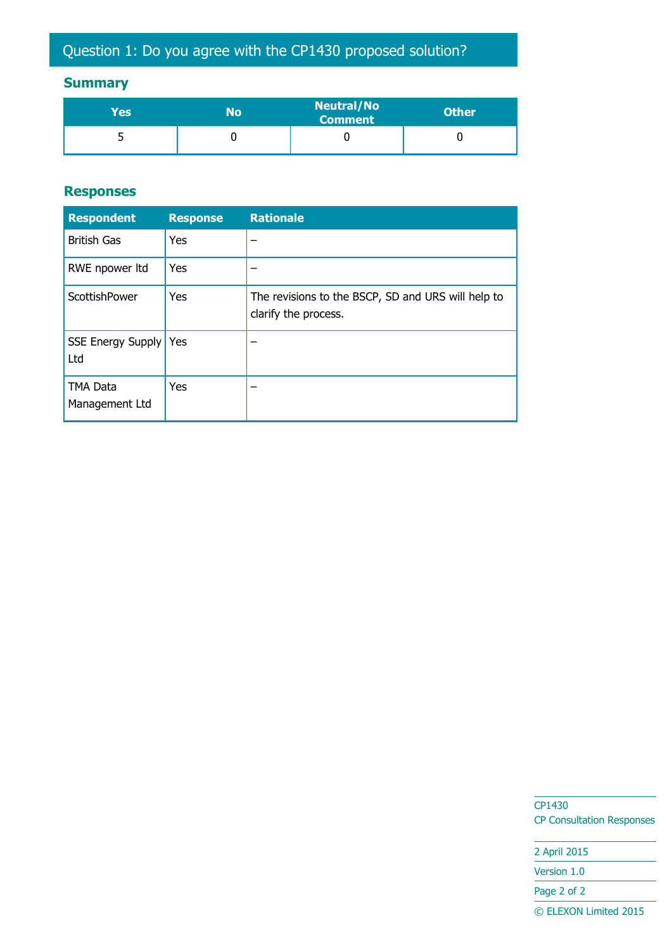# **Summary**

| Yes' | No | <b>Neutral/No</b><br>Comment | <b>Other</b> |
|------|----|------------------------------|--------------|
| ــ   |    |                              |              |

#### **Responses**

| <b>Respondent</b>              | <b>Response</b> | <b>Rationale</b>                                                           |
|--------------------------------|-----------------|----------------------------------------------------------------------------|
| <b>British Gas</b>             | Yes             |                                                                            |
| RWE npower ltd                 | <b>Yes</b>      |                                                                            |
| ScottishPower                  | Yes             | The revisions to the BSCP, SD and URS will help to<br>clarify the process. |
| SSE Energy Supply   Yes<br>Ltd |                 |                                                                            |
| TMA Data<br>Management Ltd     | Yes             |                                                                            |

CP1430 CP Consultation Responses

2 April 2015 Version 1.0 Page 2 of 2 © ELEXON Limited 2015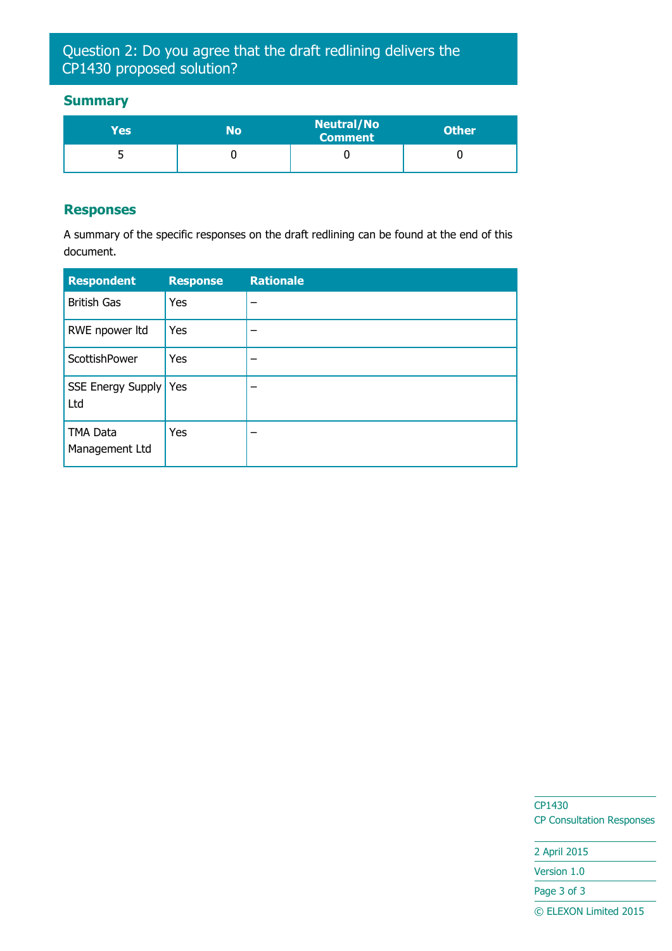## Question 2: Do you agree that the draft redlining delivers the CP1430 proposed solution?

#### **Summary**

| Yes' | No | <b>Neutral/No</b><br><b>Comment</b> | <b>Other</b> |
|------|----|-------------------------------------|--------------|
|      |    |                                     |              |

#### **Responses**

A summary of the specific responses on the draft redlining can be found at the end of this document.

| <b>Respondent</b>          | <b>Response</b> | <b>Rationale</b> |
|----------------------------|-----------------|------------------|
| <b>British Gas</b>         | Yes             |                  |
| RWE npower ltd             | Yes             |                  |
| ScottishPower              | Yes             |                  |
| SSE Energy Supply<br>Ltd   | Yes             |                  |
| TMA Data<br>Management Ltd | Yes             |                  |

CP1430 CP Consultation Responses

2 April 2015 Version 1.0 Page 3 of 3 © ELEXON Limited 2015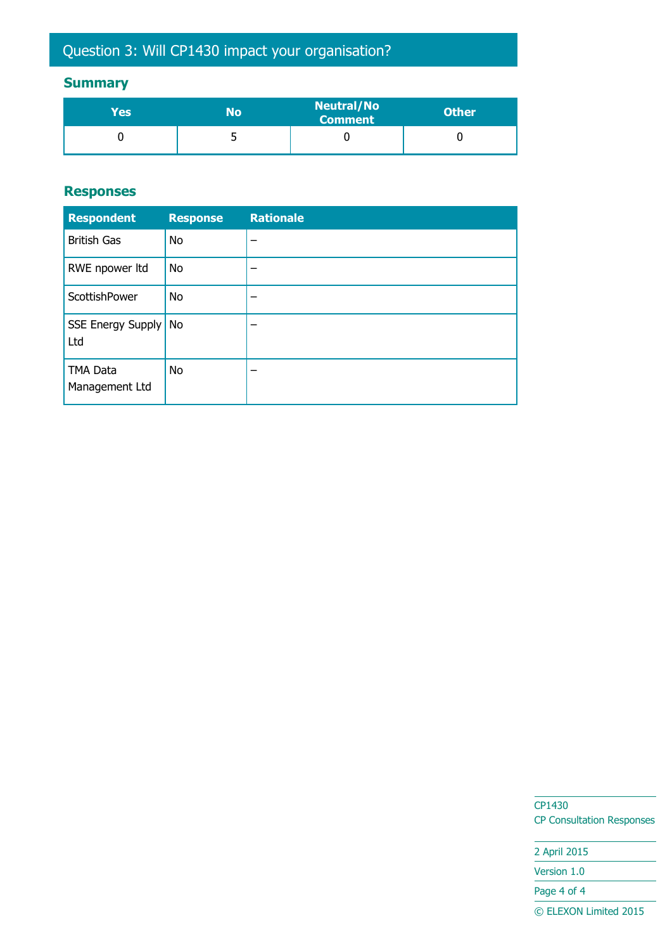# Question 3: Will CP1430 impact your organisation?

# **Summary**

| <b>Yes</b> | No | <b>Neutral/No</b><br><b>Comment</b> | <b>Other</b> |
|------------|----|-------------------------------------|--------------|
|            | ັ  |                                     |              |

#### **Responses**

| <b>Respondent</b>          | <b>Response</b> | <b>Rationale</b> |
|----------------------------|-----------------|------------------|
| <b>British Gas</b>         | <b>No</b>       |                  |
| RWE npower ltd             | <b>No</b>       |                  |
| ScottishPower              | <b>No</b>       |                  |
| SSE Energy Supply<br>Ltd   | No              |                  |
| TMA Data<br>Management Ltd | <b>No</b>       |                  |

CP1430 CP Consultation Responses

2 April 2015 Version 1.0 Page 4 of 4 © ELEXON Limited 2015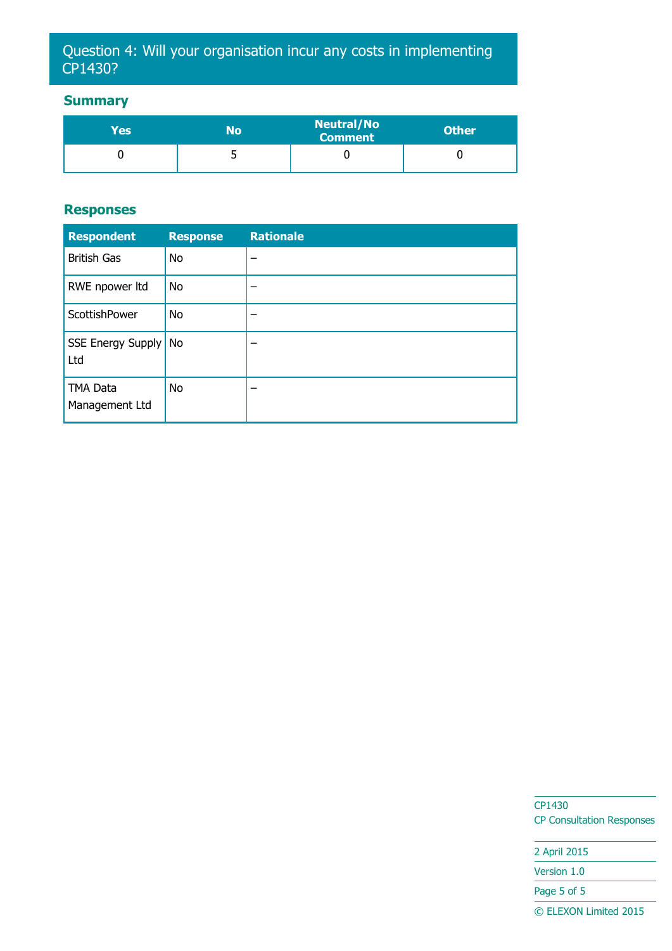## Question 4: Will your organisation incur any costs in implementing CP1430?

#### **Summary**

| Yes' | No | <b>Neutral/No</b><br><b>Comment</b> | <b>Other</b> |
|------|----|-------------------------------------|--------------|
|      | ◡  |                                     |              |

#### **Responses**

| <b>Respondent</b>           | <b>Response</b> | <b>Rationale</b> |
|-----------------------------|-----------------|------------------|
| <b>British Gas</b>          | No              | -                |
| RWE npower ltd              | <b>No</b>       |                  |
| ScottishPower               | No              |                  |
| SSE Energy Supply No<br>Ltd |                 | -                |
| TMA Data<br>Management Ltd  | <b>No</b>       | -                |

CP1430 CP Consultation Responses

2 April 2015 Version 1.0 Page 5 of 5 © ELEXON Limited 2015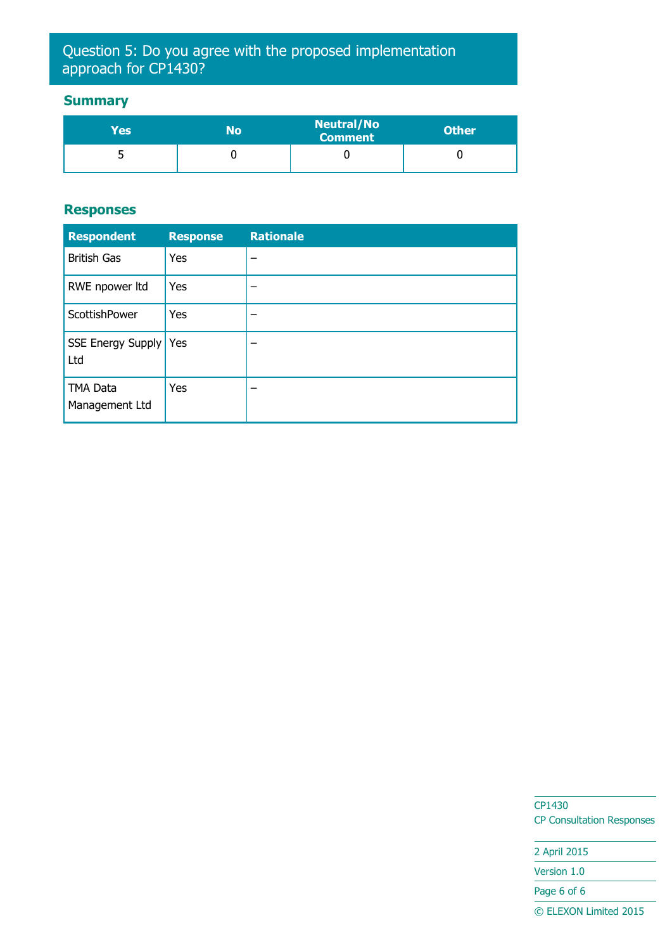## Question 5: Do you agree with the proposed implementation approach for CP1430?

#### **Summary**

| Yes | No | <b>Neutral/No</b><br><b>Comment</b> | <b>Other</b> |
|-----|----|-------------------------------------|--------------|
|     |    |                                     |              |

#### **Responses**

| <b>Respondent</b>              | <b>Response</b> | <b>Rationale</b> |
|--------------------------------|-----------------|------------------|
| <b>British Gas</b>             | Yes             |                  |
| RWE npower ltd                 | Yes             |                  |
| ScottishPower                  | Yes             |                  |
| SSE Energy Supply   Yes<br>Ltd |                 |                  |
| TMA Data<br>Management Ltd     | Yes             |                  |

CP1430 CP Consultation Responses

2 April 2015 Version 1.0 Page 6 of 6 © ELEXON Limited 2015